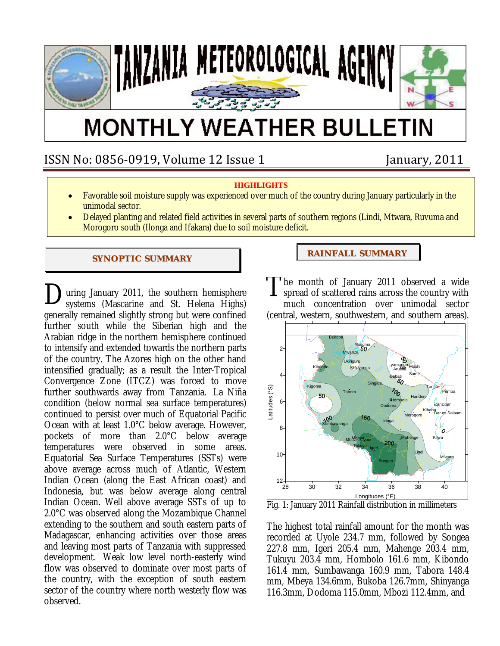

# **MONTHLY WEATHER BULLETIN**

# ISSN No: 0856‐0919, Volume 12 Issue 1 January, 2011

### **HIGHLIGHTS**

- Favorable soil moisture supply was experienced over much of the country during January particularly in the unimodal sector.
- Delayed planting and related field activities in several parts of southern regions (Lindi, Mtwara, Ruvuma and Morogoro south (Ilonga and Ifakara) due to soil moisture deficit.

#### **SYNOPTIC SUMMARY**

uring January 2011, the southern hemisphere  $\sum$ uring January 2011, the southern hemisphere  $\Gamma$ generally remained slightly strong but were confined further south while the Siberian high and the Arabian ridge in the northern hemisphere continued to intensify and extended towards the northern parts of the country. The Azores high on the other hand intensified gradually; as a result the Inter-Tropical Convergence Zone (ITCZ) was forced to move further southwards away from Tanzania. La Niña condition (below normal sea surface temperatures) continued to persist over much of Equatorial Pacific Ocean with at least 1.0°C below average. However, pockets of more than 2.0°C below average temperatures were observed in some areas. Equatorial Sea Surface Temperatures (SSTs) were above average across much of Atlantic, Western Indian Ocean (along the East African coast) and Indonesia, but was below average along central Indian Ocean. Well above average SSTs of up to 2.0°C was observed along the Mozambique Channel extending to the southern and south eastern parts of Madagascar, enhancing activities over those areas and leaving most parts of Tanzania with suppressed development. Weak low level north-easterly wind flow was observed to dominate over most parts of the country, with the exception of south eastern sector of the country where north westerly flow was observed.

### **RAI NFALL SUMMARY**

he month of January 2011 observed a wide spread of scattered rains across the country with much concentration over unimodal sector (central, western, southwestern, and southern areas).



Fig. 1: January 2011 Rainfall distribution in millimeters

The highest total rainfall amount for the month was recorded at Uyole 234.7 mm, followed by Songea 227.8 mm, Igeri 205.4 mm, Mahenge 203.4 mm, Tukuyu 203.4 mm, Hombolo 161.6 mm, Kibondo 161.4 mm, Sumbawanga 160.9 mm, Tabora 148.4 mm, Mbeya 134.6mm, Bukoba 126.7mm, Shinyanga 116.3mm, Dodoma 115.0mm, Mbozi 112.4mm, and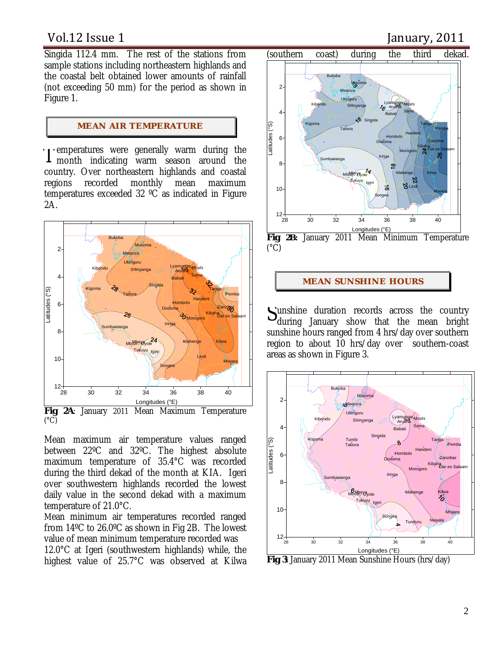Singida 112.4 mm. The rest of the stations from sample stations including northeastern highlands and the coastal belt obtained lower amounts of rainfall (not exceeding 50 mm) for the period as shown in Figure 1.

#### **MEAN AIR TEMPERATURE**

I emperatures were generally warm during the nonth indicating warm season around the **1** month indicating warm season around the country. Over northeastern highlands and coastal regions recorded monthly mean maximum temperatures exceeded 32 ºC as indicated in Figure 2A.



Mean maximum air temperature values ranged between 22ºC and 32ºC. The highest absolute maximum temperature of 35.4°C was recorded during the third dekad of the month at KIA. Igeri over southwestern highlands recorded the lowest daily value in the second dekad with a maximum temperature of 21.0°C.

Mean minimum air temperatures recorded ranged from 14ºC to 26.0ºC as shown in Fig 2B. The lowest value of mean minimum temperature recorded was 12.0°C at Igeri (southwestern highlands) while, the highest value of 25.7°C was observed at Kilwa

# Vol.12 Issue 1 **If all a set of the UP** and Ianuary, 2011



 $(^{\circ}C)$ 

#### **MEAN SUNSHI NE HOURS**

unshine duration records across the country Sunshine duration records across the country<br>during January show that the mean bright sunshine hours ranged from 4 hrs/day over southern region to about 10 hrs/day over southern-coast areas as shown in Figure 3.



**Fig 3**: January 2011 Mean Sunshine Hours (hrs/day)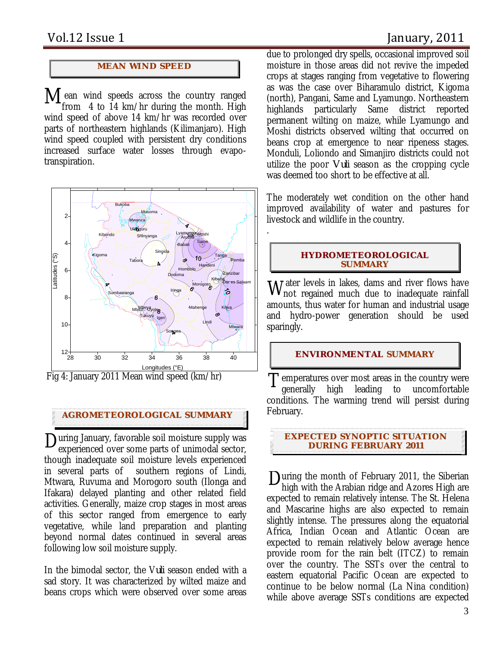### **MEAN WI ND SPEED**

 $\mathbf{M}$  ean wind speeds across the country ranged from 4 to 14 km/hr during the month High from 4 to 14 km/hr during the month. High wind speed of above 14 km/hr was recorded over parts of northeastern highlands (Kilimanjaro). High wind speed coupled with persistent dry conditions increased surface water losses through evapotranspiration.



Fig 4: January 2011 Mean wind speed (km/hr)

### **AGROMETEOROLOGICAL SUMMARY**

During January, favorable soil moisture supply was<br>experienced over some parts of unimodal sector. experienced over some parts of unimodal sector, though inadequate soil moisture levels experienced in several parts of southern regions of Lindi, Mtwara, Ruvuma and Morogoro south (Ilonga and Ifakara) delayed planting and other related field activities. Generally, maize crop stages in most areas of this sector ranged from emergence to early vegetative, while land preparation and planting beyond normal dates continued in several areas following low soil moisture supply.

In the bimodal sector, the V*uli* season ended with a sad story. It was characterized by wilted maize and beans crops which were observed over some areas

due to prolonged dry spells, occasional improved soil moisture in those areas did not revive the impeded crops at stages ranging from vegetative to flowering as was the case over Biharamulo district, Kigoma (north), Pangani, Same and Lyamungo. Northeastern highlands particularly Same district reported permanent wilting on maize, while Lyamungo and Moshi districts observed wilting that occurred on beans crop at emergence to near ripeness stages. Monduli, Loliondo and Simanjiro districts could not utilize the poor *Vuli* season as the cropping cycle was deemed too short to be effective at all.

The moderately wet condition on the other hand improved availability of water and pastures for livestock and wildlife in the country.

#### **HYDROMETEOROLOGICAL SUMMARY**

.

ater levels in lakes, dams and river flows have Water levels in lakes, dams and river flows have<br>Wnot regained much due to inadequate rainfall amounts, thus water for human and industrial usage and hydro-power generation should be used sparingly.

#### **ENVIRONMENTAL SUMMARY**

 $T_{\text{generally}}$  is over most areas in the country were  $T_{\text{generally}}$  high leading to uncomfortable generally high leading to uncomfortable conditions. The warming trend will persist during February.

**EXPECTED SYNOPTIC SITUATION DURI NG FEBRUARY 2011**

 $\sum_{\text{high with the Arabian ridge and Azores High are}}$ high with the Arabian ridge and Azores High are expected to remain relatively intense. The St. Helena and Mascarine highs are also expected to remain slightly intense. The pressures along the equatorial Africa, Indian Ocean and Atlantic Ocean are expected to remain relatively below average hence provide room for the rain belt (ITCZ) to remain over the country. The SSTs over the central to eastern equatorial Pacific Ocean are expected to continue to be below normal (La Nina condition) while above average SSTs conditions are expected